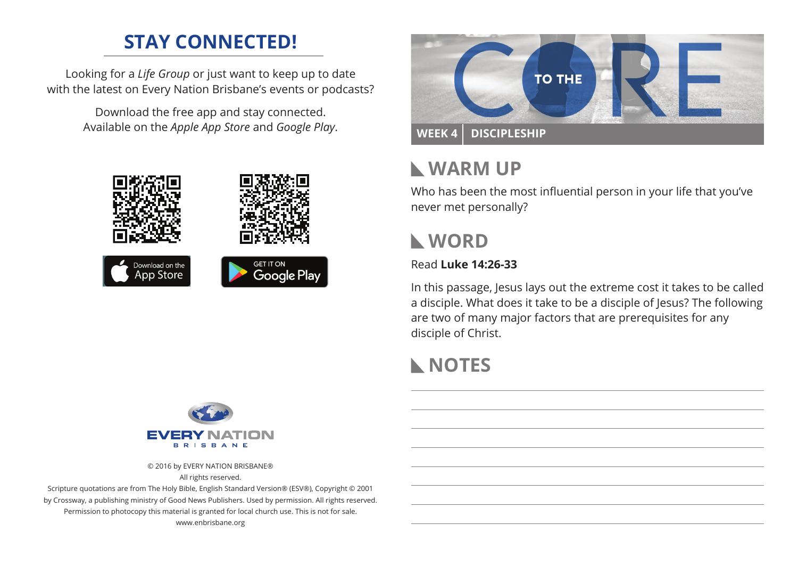# **STAY CONNECTED!**

Looking for a *Life Group* or just want to keep up to date with the latest on Every Nation Brisbane's events or podcasts?

> Download the free app and stay connected. Available on the *Apple App Store* and *Google Play*.





# **Warm Up**

Who has been the most influential person in your life that you've never met personally?

## **WORD**

### Read **Luke 14:26-33**

In this passage, Jesus lays out the extreme cost it takes to be called a disciple. What does it take to be a disciple of Jesus? The following are two of many major factors that are prerequisites for any disciple of Christ.

# **NOTES**



© 2016 by EVERY NATION BRISBANE® All rights reserved.

Scripture quotations are from The Holy Bible, English Standard Version® (ESV®), Copyright © 2001 by Crossway, a publishing ministry of Good News Publishers. Used by permission. All rights reserved. Permission to photocopy this material is granted for local church use. This is not for sale. www.enbrisbane.org